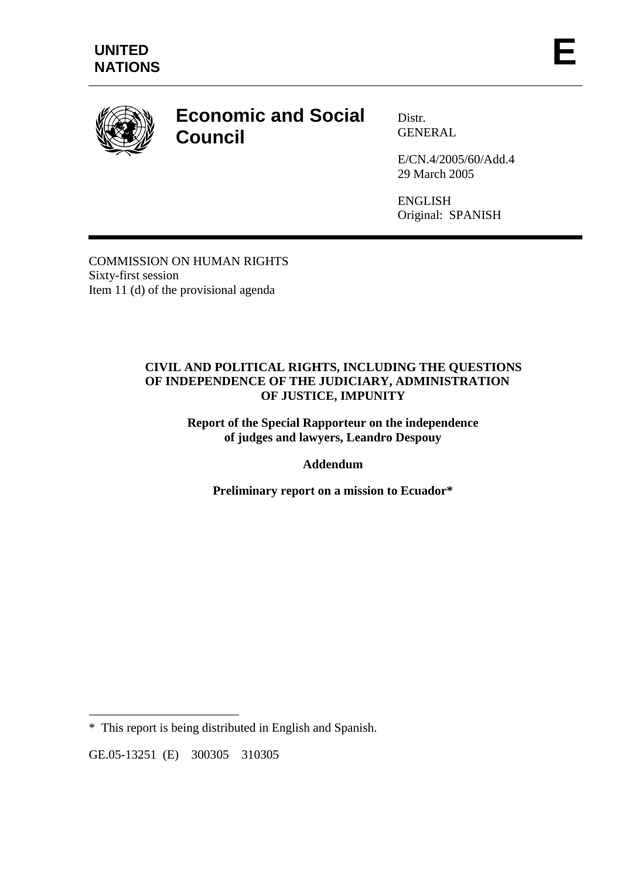

# **Economic and Social Council**

Distr. GENERAL

E/CN.4/2005/60/Add.4 29 March 2005

ENGLISH Original: SPANISH

COMMISSION ON HUMAN RIGHTS Sixty-first session Item 11 (d) of the provisional agenda

#### **CIVIL AND POLITICAL RIGHTS, INCLUDING THE QUESTIONS OF INDEPENDENCE OF THE JUDICIARY, ADMINISTRATION OF JUSTICE, IMPUNITY**

**Report of the Special Rapporteur on the independence of judges and lawyers, Leandro Despouy** 

## **Addendum**

**Preliminary report on a mission to Ecuador\*** 

 $\overline{a}$ 

<sup>\*</sup> This report is being distributed in English and Spanish.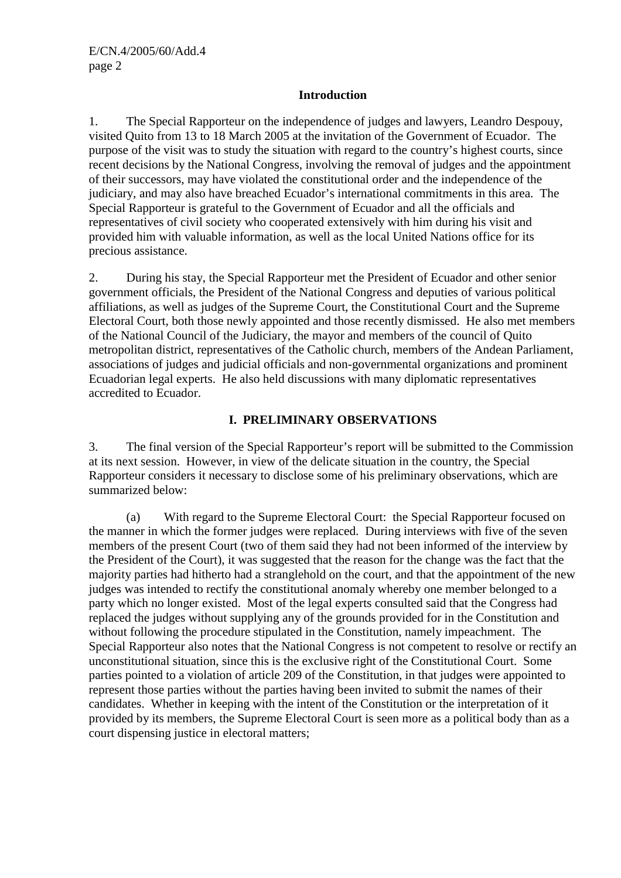#### **Introduction**

1. The Special Rapporteur on the independence of judges and lawyers, Leandro Despouy, visited Quito from 13 to 18 March 2005 at the invitation of the Government of Ecuador. The purpose of the visit was to study the situation with regard to the country's highest courts, since recent decisions by the National Congress, involving the removal of judges and the appointment of their successors, may have violated the constitutional order and the independence of the judiciary, and may also have breached Ecuador's international commitments in this area. The Special Rapporteur is grateful to the Government of Ecuador and all the officials and representatives of civil society who cooperated extensively with him during his visit and provided him with valuable information, as well as the local United Nations office for its precious assistance.

2. During his stay, the Special Rapporteur met the President of Ecuador and other senior government officials, the President of the National Congress and deputies of various political affiliations, as well as judges of the Supreme Court, the Constitutional Court and the Supreme Electoral Court, both those newly appointed and those recently dismissed. He also met members of the National Council of the Judiciary, the mayor and members of the council of Quito metropolitan district, representatives of the Catholic church, members of the Andean Parliament, associations of judges and judicial officials and non-governmental organizations and prominent Ecuadorian legal experts. He also held discussions with many diplomatic representatives accredited to Ecuador.

### **I. PRELIMINARY OBSERVATIONS**

3. The final version of the Special Rapporteur's report will be submitted to the Commission at its next session. However, in view of the delicate situation in the country, the Special Rapporteur considers it necessary to disclose some of his preliminary observations, which are summarized below:

 (a) With regard to the Supreme Electoral Court: the Special Rapporteur focused on the manner in which the former judges were replaced. During interviews with five of the seven members of the present Court (two of them said they had not been informed of the interview by the President of the Court), it was suggested that the reason for the change was the fact that the majority parties had hitherto had a stranglehold on the court, and that the appointment of the new judges was intended to rectify the constitutional anomaly whereby one member belonged to a party which no longer existed. Most of the legal experts consulted said that the Congress had replaced the judges without supplying any of the grounds provided for in the Constitution and without following the procedure stipulated in the Constitution, namely impeachment. The Special Rapporteur also notes that the National Congress is not competent to resolve or rectify an unconstitutional situation, since this is the exclusive right of the Constitutional Court. Some parties pointed to a violation of article 209 of the Constitution, in that judges were appointed to represent those parties without the parties having been invited to submit the names of their candidates. Whether in keeping with the intent of the Constitution or the interpretation of it provided by its members, the Supreme Electoral Court is seen more as a political body than as a court dispensing justice in electoral matters;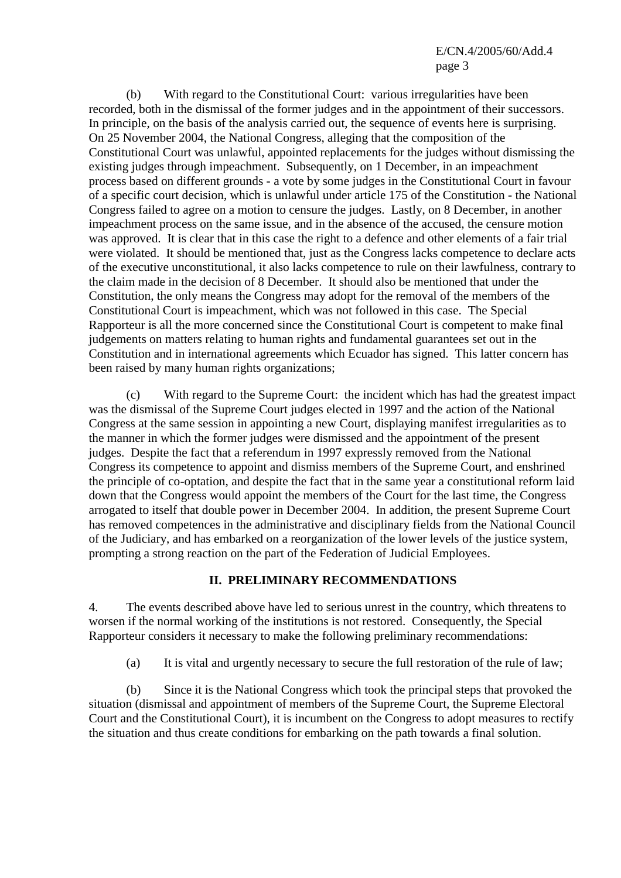(b) With regard to the Constitutional Court: various irregularities have been recorded, both in the dismissal of the former judges and in the appointment of their successors. In principle, on the basis of the analysis carried out, the sequence of events here is surprising. On 25 November 2004, the National Congress, alleging that the composition of the Constitutional Court was unlawful, appointed replacements for the judges without dismissing the existing judges through impeachment. Subsequently, on 1 December, in an impeachment process based on different grounds - a vote by some judges in the Constitutional Court in favour of a specific court decision, which is unlawful under article 175 of the Constitution - the National Congress failed to agree on a motion to censure the judges. Lastly, on 8 December, in another impeachment process on the same issue, and in the absence of the accused, the censure motion was approved. It is clear that in this case the right to a defence and other elements of a fair trial were violated. It should be mentioned that, just as the Congress lacks competence to declare acts of the executive unconstitutional, it also lacks competence to rule on their lawfulness, contrary to the claim made in the decision of 8 December. It should also be mentioned that under the Constitution, the only means the Congress may adopt for the removal of the members of the Constitutional Court is impeachment, which was not followed in this case. The Special Rapporteur is all the more concerned since the Constitutional Court is competent to make final judgements on matters relating to human rights and fundamental guarantees set out in the Constitution and in international agreements which Ecuador has signed. This latter concern has been raised by many human rights organizations;

 (c) With regard to the Supreme Court: the incident which has had the greatest impact was the dismissal of the Supreme Court judges elected in 1997 and the action of the National Congress at the same session in appointing a new Court, displaying manifest irregularities as to the manner in which the former judges were dismissed and the appointment of the present judges. Despite the fact that a referendum in 1997 expressly removed from the National Congress its competence to appoint and dismiss members of the Supreme Court, and enshrined the principle of co-optation, and despite the fact that in the same year a constitutional reform laid down that the Congress would appoint the members of the Court for the last time, the Congress arrogated to itself that double power in December 2004. In addition, the present Supreme Court has removed competences in the administrative and disciplinary fields from the National Council of the Judiciary, and has embarked on a reorganization of the lower levels of the justice system, prompting a strong reaction on the part of the Federation of Judicial Employees.

## **II. PRELIMINARY RECOMMENDATIONS**

4. The events described above have led to serious unrest in the country, which threatens to worsen if the normal working of the institutions is not restored. Consequently, the Special Rapporteur considers it necessary to make the following preliminary recommendations:

(a) It is vital and urgently necessary to secure the full restoration of the rule of law;

 (b) Since it is the National Congress which took the principal steps that provoked the situation (dismissal and appointment of members of the Supreme Court, the Supreme Electoral Court and the Constitutional Court), it is incumbent on the Congress to adopt measures to rectify the situation and thus create conditions for embarking on the path towards a final solution.